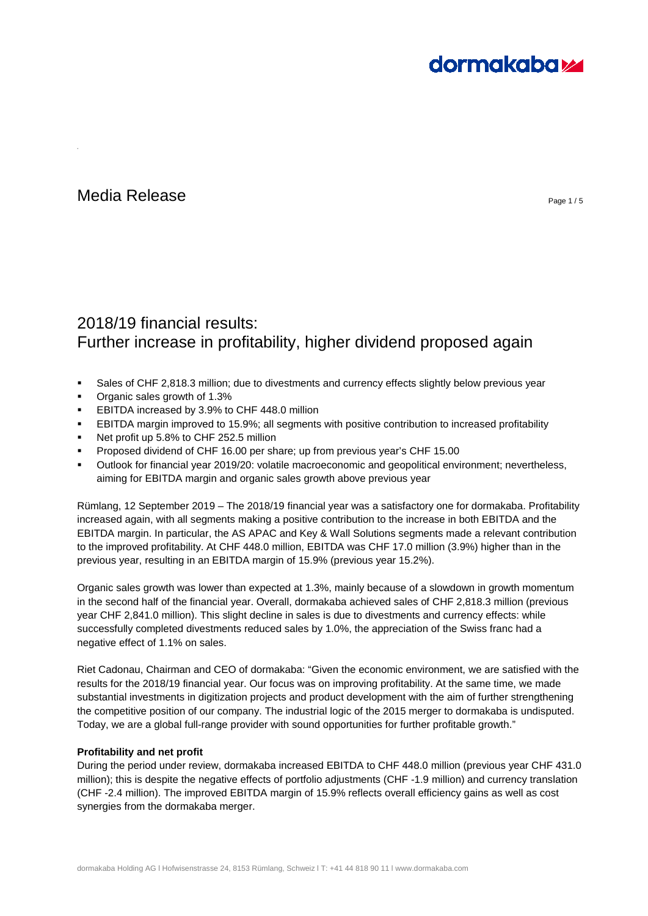# **dormakabazz**

# Media Release Page 1/5

# 2018/19 financial results: Further increase in profitability, higher dividend proposed again

- Sales of CHF 2,818.3 million; due to divestments and currency effects slightly below previous year
- Organic sales growth of 1.3%
- EBITDA increased by 3.9% to CHF 448.0 million
- EBITDA margin improved to 15.9%; all segments with positive contribution to increased profitability
- Net profit up 5.8% to CHF 252.5 million
- Proposed dividend of CHF 16.00 per share; up from previous year's CHF 15.00
- Outlook for financial year 2019/20: volatile macroeconomic and geopolitical environment; nevertheless, aiming for EBITDA margin and organic sales growth above previous year

Rümlang, 12 September 2019 – The 2018/19 financial year was a satisfactory one for dormakaba. Profitability increased again, with all segments making a positive contribution to the increase in both EBITDA and the EBITDA margin. In particular, the AS APAC and Key & Wall Solutions segments made a relevant contribution to the improved profitability. At CHF 448.0 million, EBITDA was CHF 17.0 million (3.9%) higher than in the previous year, resulting in an EBITDA margin of 15.9% (previous year 15.2%).

Organic sales growth was lower than expected at 1.3%, mainly because of a slowdown in growth momentum in the second half of the financial year. Overall, dormakaba achieved sales of CHF 2,818.3 million (previous year CHF 2,841.0 million). This slight decline in sales is due to divestments and currency effects: while successfully completed divestments reduced sales by 1.0%, the appreciation of the Swiss franc had a negative effect of 1.1% on sales.

Riet Cadonau, Chairman and CEO of dormakaba: "Given the economic environment, we are satisfied with the results for the 2018/19 financial year. Our focus was on improving profitability. At the same time, we made substantial investments in digitization projects and product development with the aim of further strengthening the competitive position of our company. The industrial logic of the 2015 merger to dormakaba is undisputed. Today, we are a global full-range provider with sound opportunities for further profitable growth."

# **Profitability and net profit**

During the period under review, dormakaba increased EBITDA to CHF 448.0 million (previous year CHF 431.0 million); this is despite the negative effects of portfolio adjustments (CHF -1.9 million) and currency translation (CHF -2.4 million). The improved EBITDA margin of 15.9% reflects overall efficiency gains as well as cost synergies from the dormakaba merger.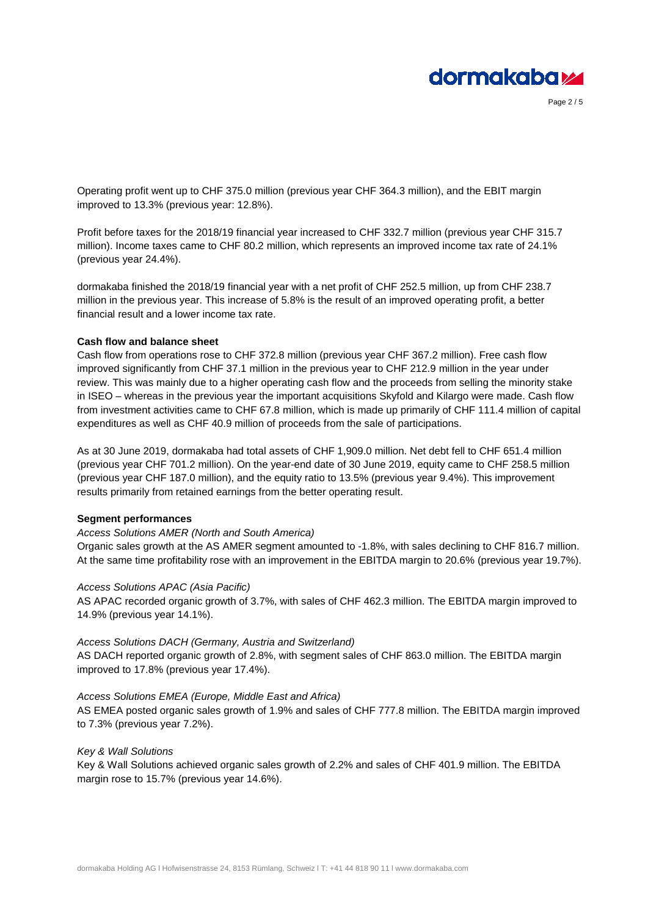

Page 2 / 5

Operating profit went up to CHF 375.0 million (previous year CHF 364.3 million), and the EBIT margin improved to 13.3% (previous year: 12.8%).

Profit before taxes for the 2018/19 financial year increased to CHF 332.7 million (previous year CHF 315.7 million). Income taxes came to CHF 80.2 million, which represents an improved income tax rate of 24.1% (previous year 24.4%).

dormakaba finished the 2018/19 financial year with a net profit of CHF 252.5 million, up from CHF 238.7 million in the previous year. This increase of 5.8% is the result of an improved operating profit, a better financial result and a lower income tax rate.

# **Cash flow and balance sheet**

Cash flow from operations rose to CHF 372.8 million (previous year CHF 367.2 million). Free cash flow improved significantly from CHF 37.1 million in the previous year to CHF 212.9 million in the year under review. This was mainly due to a higher operating cash flow and the proceeds from selling the minority stake in ISEO – whereas in the previous year the important acquisitions Skyfold and Kilargo were made. Cash flow from investment activities came to CHF 67.8 million, which is made up primarily of CHF 111.4 million of capital expenditures as well as CHF 40.9 million of proceeds from the sale of participations.

As at 30 June 2019, dormakaba had total assets of CHF 1,909.0 million. Net debt fell to CHF 651.4 million (previous year CHF 701.2 million). On the year-end date of 30 June 2019, equity came to CHF 258.5 million (previous year CHF 187.0 million), and the equity ratio to 13.5% (previous year 9.4%). This improvement results primarily from retained earnings from the better operating result.

# **Segment performances**

# *Access Solutions AMER (North and South America)*

Organic sales growth at the AS AMER segment amounted to -1.8%, with sales declining to CHF 816.7 million. At the same time profitability rose with an improvement in the EBITDA margin to 20.6% (previous year 19.7%).

# *Access Solutions APAC (Asia Pacific)*

AS APAC recorded organic growth of 3.7%, with sales of CHF 462.3 million. The EBITDA margin improved to 14.9% (previous year 14.1%).

#### *Access Solutions DACH (Germany, Austria and Switzerland)*

AS DACH reported organic growth of 2.8%, with segment sales of CHF 863.0 million. The EBITDA margin improved to 17.8% (previous year 17.4%).

#### *Access Solutions EMEA (Europe, Middle East and Africa)*

AS EMEA posted organic sales growth of 1.9% and sales of CHF 777.8 million. The EBITDA margin improved to 7.3% (previous year 7.2%).

#### *Key & Wall Solutions*

Key & Wall Solutions achieved organic sales growth of 2.2% and sales of CHF 401.9 million. The EBITDA margin rose to 15.7% (previous year 14.6%).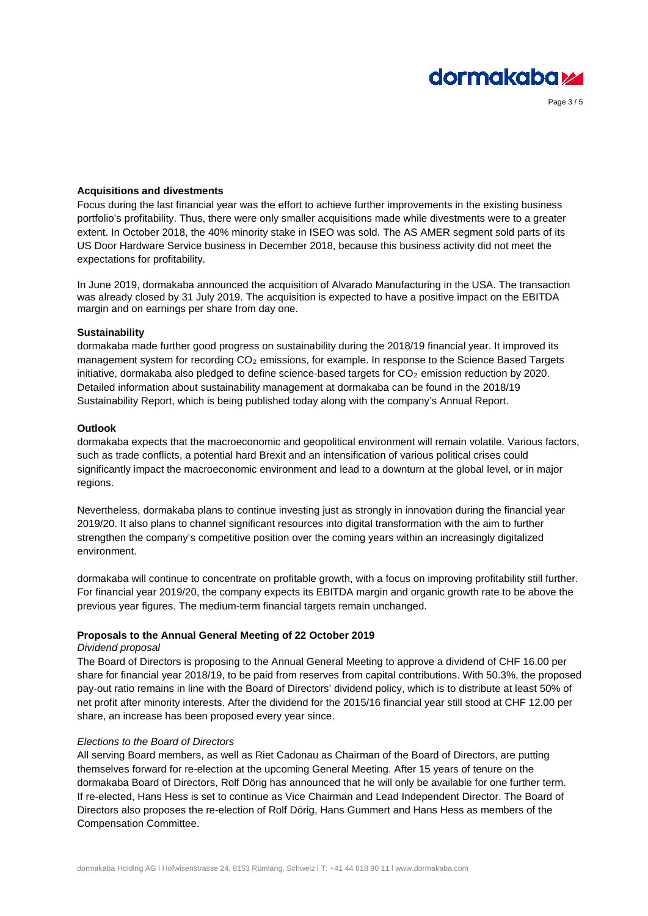

Page 3 / 5

# **Acquisitions and divestments**

Focus during the last financial year was the effort to achieve further improvements in the existing business portfolio's profitability. Thus, there were only smaller acquisitions made while divestments were to a greater extent. In October 2018, the 40% minority stake in ISEO was sold. The AS AMER segment sold parts of its US Door Hardware Service business in December 2018, because this business activity did not meet the expectations for profitability.

In June 2019, dormakaba announced the acquisition of Alvarado Manufacturing in the USA. The transaction was already closed by 31 July 2019. The acquisition is expected to have a positive impact on the EBITDA margin and on earnings per share from day one.

#### **Sustainability**

dormakaba made further good progress on sustainability during the 2018/19 financial year. It improved its management system for recording  $CO<sub>2</sub>$  emissions, for example. In response to the Science Based Targets initiative, dormakaba also pledged to define science-based targets for  $CO<sub>2</sub>$  emission reduction by 2020. Detailed information about sustainability management at dormakaba can be found in the 2018/19 Sustainability Report, which is being published today along with the company's Annual Report.

#### **Outlook**

dormakaba expects that the macroeconomic and geopolitical environment will remain volatile. Various factors, such as trade conflicts, a potential hard Brexit and an intensification of various political crises could significantly impact the macroeconomic environment and lead to a downturn at the global level, or in major regions.

Nevertheless, dormakaba plans to continue investing just as strongly in innovation during the financial year 2019/20. It also plans to channel significant resources into digital transformation with the aim to further strengthen the company's competitive position over the coming years within an increasingly digitalized environment.

dormakaba will continue to concentrate on profitable growth, with a focus on improving profitability still further. For financial year 2019/20, the company expects its EBITDA margin and organic growth rate to be above the previous year figures. The medium-term financial targets remain unchanged.

# **Proposals to the Annual General Meeting of 22 October 2019**

# *Dividend proposal*

The Board of Directors is proposing to the Annual General Meeting to approve a dividend of CHF 16.00 per share for financial year 2018/19, to be paid from reserves from capital contributions. With 50.3%, the proposed pay-out ratio remains in line with the Board of Directors' dividend policy, which is to distribute at least 50% of net profit after minority interests. After the dividend for the 2015/16 financial year still stood at CHF 12.00 per share, an increase has been proposed every year since.

#### *Elections to the Board of Directors*

All serving Board members, as well as Riet Cadonau as Chairman of the Board of Directors, are putting themselves forward for re-election at the upcoming General Meeting. After 15 years of tenure on the dormakaba Board of Directors, Rolf Dörig has announced that he will only be available for one further term. If re-elected, Hans Hess is set to continue as Vice Chairman and Lead Independent Director. The Board of Directors also proposes the re-election of Rolf Dörig, Hans Gummert and Hans Hess as members of the Compensation Committee.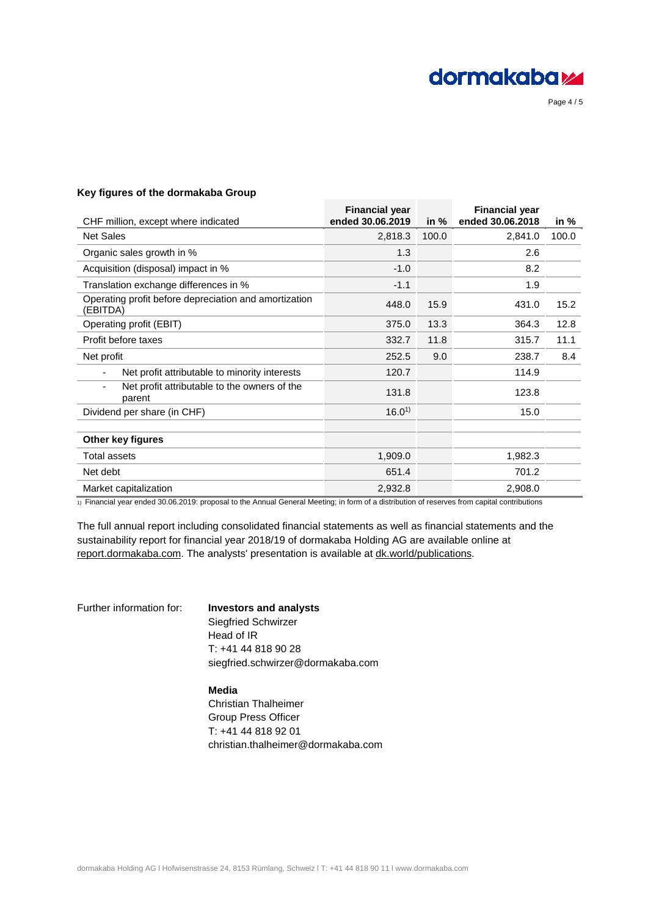

Page 4 / 5

# **Key figures of the dormakaba Group**

| <b>Financial year</b><br>ended 30.06.2019 |       | <b>Financial year</b> | in %             |
|-------------------------------------------|-------|-----------------------|------------------|
| 2,818.3                                   | 100.0 | 2,841.0               | 100.0            |
| 1.3                                       |       | 2.6                   |                  |
| $-1.0$                                    |       | 8.2                   |                  |
| $-1.1$                                    |       | 1.9                   |                  |
| 448.0                                     | 15.9  | 431.0                 | 15.2             |
| 375.0                                     | 13.3  | 364.3                 | 12.8             |
| 332.7                                     | 11.8  | 315.7                 | 11.1             |
| 252.5                                     | 9.0   | 238.7                 | 8.4              |
| 120.7                                     |       | 114.9                 |                  |
| 131.8                                     |       | 123.8                 |                  |
| $16.0^{1}$                                |       | 15.0                  |                  |
|                                           |       |                       |                  |
| 1,909.0                                   |       | 1,982.3               |                  |
| 651.4                                     |       | 701.2                 |                  |
| 2,932.8                                   |       | 2,908.0               |                  |
|                                           |       | in $%$                | ended 30.06.2018 |

1) Financial year ended 30.06.2019: proposal to the Annual General Meeting; in form of a distribution of reserves from capital contributions

The full annual report including consolidated financial statements as well as financial statements and the sustainability report for financial year 2018/19 of dormakaba Holding AG are available online at [report.dormakaba.com.](http://www.report.dormakaba.com/) The analysts' presentation is available at  $dk$  world/publications.

# Further information for: **Investors and analysts** Siegfried Schwirzer

Head of IR T: +41 44 818 90 28 siegfried.schwirzer@dormakaba.com

# **Media**

Christian Thalheimer Group Press Officer T: +41 44 818 92 01 christian.thalheimer@dormakaba.com